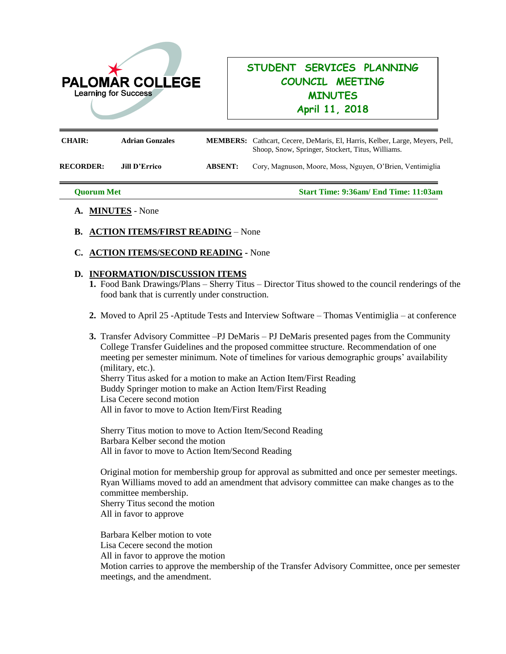

## **STUDENT SERVICES PLANNING COUNCIL MEETING MINUTES April 11, 2018**

| <b>CHAIR:</b>    | <b>Adrian Gonzales</b> |                | <b>MEMBERS:</b> Cathcart, Cecere, DeMaris, El, Harris, Kelber, Large, Meyers, Pell,<br>Shoop, Snow, Springer, Stockert, Titus, Williams. |
|------------------|------------------------|----------------|------------------------------------------------------------------------------------------------------------------------------------------|
| <b>RECORDER:</b> | <b>Jill D'Errico</b>   | <b>ABSENT:</b> | Cory, Magnuson, Moore, Moss, Nguyen, O'Brien, Ventimiglia                                                                                |

**Quorum Met Start Time: 9:36am/ End Time: 11:03am**

- **A. MINUTES** None
- **B. ACTION ITEMS/FIRST READING** None
- **C. ACTION ITEMS/SECOND READING -** None

## **D. INFORMATION/DISCUSSION ITEMS**

- **1.** Food Bank Drawings/Plans Sherry Titus Director Titus showed to the council renderings of the food bank that is currently under construction.
- **2.** Moved to April 25 -Aptitude Tests and Interview Software Thomas Ventimiglia at conference
- **3.** Transfer Advisory Committee –PJ DeMaris PJ DeMaris presented pages from the Community College Transfer Guidelines and the proposed committee structure. Recommendation of one meeting per semester minimum. Note of timelines for various demographic groups' availability (military, etc.).

Sherry Titus asked for a motion to make an Action Item/First Reading Buddy Springer motion to make an Action Item/First Reading Lisa Cecere second motion All in favor to move to Action Item/First Reading

Sherry Titus motion to move to Action Item/Second Reading Barbara Kelber second the motion All in favor to move to Action Item/Second Reading

Original motion for membership group for approval as submitted and once per semester meetings. Ryan Williams moved to add an amendment that advisory committee can make changes as to the committee membership. Sherry Titus second the motion All in favor to approve

Barbara Kelber motion to vote Lisa Cecere second the motion All in favor to approve the motion Motion carries to approve the membership of the Transfer Advisory Committee, once per semester meetings, and the amendment.